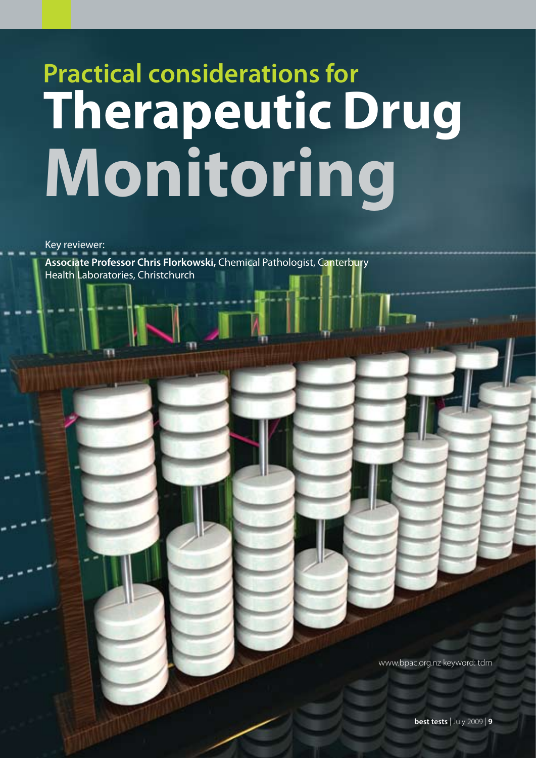# **Practical considerations for Therapeutic Drug Monitoring**

Key reviewer: **Associate Professor Chris Florkowski,** Chemical Pathologist, Canterbury Health Laboratories, Christchurch

www.bpac.org.nz keyword: tdm

**best tests** | July 2009 | **9**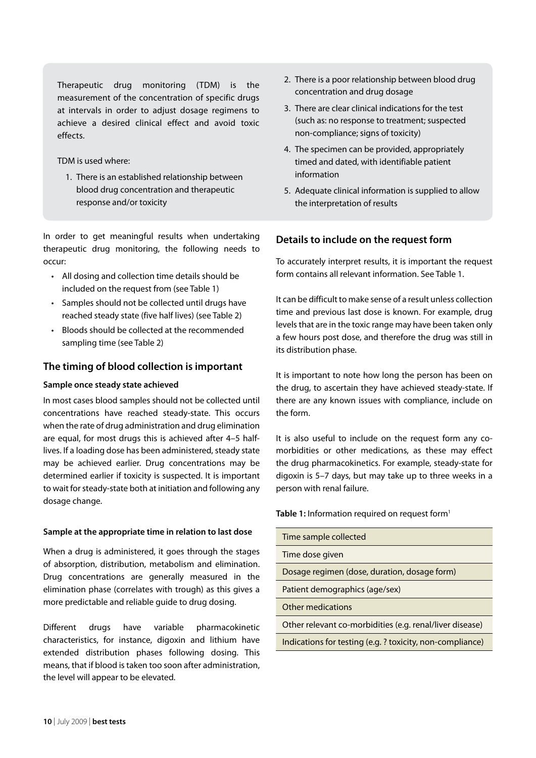Therapeutic drug monitoring (TDM) is the measurement of the concentration of specific drugs at intervals in order to adjust dosage regimens to achieve a desired clinical effect and avoid toxic effects.

TDM is used where:

1. There is an established relationship between blood drug concentration and therapeutic response and/or toxicity

In order to get meaningful results when undertaking therapeutic drug monitoring, the following needs to occur:

- • All dosing and collection time details should be included on the request from (see Table 1)
- Samples should not be collected until drugs have reached steady state (five half lives) (see Table 2)
- • Bloods should be collected at the recommended sampling time (see Table 2)

# **The timing of blood collection is important**

## **Sample once steady state achieved**

In most cases blood samples should not be collected until concentrations have reached steady-state. This occurs when the rate of drug administration and drug elimination are equal, for most drugs this is achieved after 4–5 halflives. If a loading dose has been administered, steady state may be achieved earlier. Drug concentrations may be determined earlier if toxicity is suspected. It is important to wait for steady-state both at initiation and following any dosage change.

### **Sample at the appropriate time in relation to last dose**

When a drug is administered, it goes through the stages of absorption, distribution, metabolism and elimination. Drug concentrations are generally measured in the elimination phase (correlates with trough) as this gives a more predictable and reliable guide to drug dosing.

Different drugs have variable pharmacokinetic characteristics, for instance, digoxin and lithium have extended distribution phases following dosing. This means, that if blood is taken too soon after administration, the level will appear to be elevated.

- 2. There is a poor relationship between blood drug concentration and drug dosage
- 3. There are clear clinical indications for the test (such as: no response to treatment; suspected non-compliance; signs of toxicity)
- 4. The specimen can be provided, appropriately timed and dated, with identifiable patient information
- 5. Adequate clinical information is supplied to allow the interpretation of results

# **Details to include on the request form**

To accurately interpret results, it is important the request form contains all relevant information. See Table 1.

It can be difficult to make sense of a result unless collection time and previous last dose is known. For example, drug levels that are in the toxic range may have been taken only a few hours post dose, and therefore the drug was still in its distribution phase.

It is important to note how long the person has been on the drug, to ascertain they have achieved steady-state. If there are any known issues with compliance, include on the form.

It is also useful to include on the request form any comorbidities or other medications, as these may effect the drug pharmacokinetics. For example, steady-state for digoxin is 5–7 days, but may take up to three weeks in a person with renal failure.

### Table 1: Information required on request form<sup>1</sup>

| Time sample collected                                    |
|----------------------------------------------------------|
| Time dose given                                          |
| Dosage regimen (dose, duration, dosage form)             |
| Patient demographics (age/sex)                           |
| Other medications                                        |
| Other relevant co-morbidities (e.g. renal/liver disease) |
| Indications for testing (e.g.? toxicity, non-compliance) |